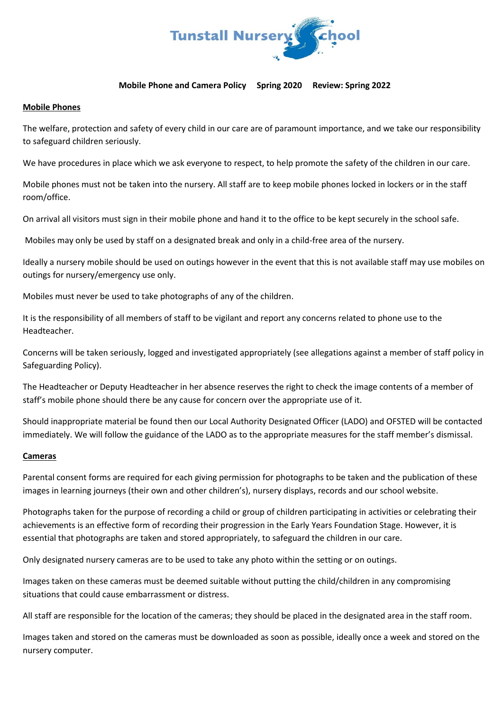

## **Mobile Phone and Camera Policy Spring 2020 Review: Spring 2022**

## **Mobile Phones**

The welfare, protection and safety of every child in our care are of paramount importance, and we take our responsibility to safeguard children seriously.

We have procedures in place which we ask everyone to respect, to help promote the safety of the children in our care.

Mobile phones must not be taken into the nursery. All staff are to keep mobile phones locked in lockers or in the staff room/office.

On arrival all visitors must sign in their mobile phone and hand it to the office to be kept securely in the school safe.

Mobiles may only be used by staff on a designated break and only in a child-free area of the nursery.

Ideally a nursery mobile should be used on outings however in the event that this is not available staff may use mobiles on outings for nursery/emergency use only.

Mobiles must never be used to take photographs of any of the children.

It is the responsibility of all members of staff to be vigilant and report any concerns related to phone use to the Headteacher.

Concerns will be taken seriously, logged and investigated appropriately (see allegations against a member of staff policy in Safeguarding Policy).

The Headteacher or Deputy Headteacher in her absence reserves the right to check the image contents of a member of staff's mobile phone should there be any cause for concern over the appropriate use of it.

Should inappropriate material be found then our Local Authority Designated Officer (LADO) and OFSTED will be contacted immediately. We will follow the guidance of the LADO as to the appropriate measures for the staff member's dismissal.

## **Cameras**

Parental consent forms are required for each giving permission for photographs to be taken and the publication of these images in learning journeys (their own and other children's), nursery displays, records and our school website.

Photographs taken for the purpose of recording a child or group of children participating in activities or celebrating their achievements is an effective form of recording their progression in the Early Years Foundation Stage. However, it is essential that photographs are taken and stored appropriately, to safeguard the children in our care.

Only designated nursery cameras are to be used to take any photo within the setting or on outings.

Images taken on these cameras must be deemed suitable without putting the child/children in any compromising situations that could cause embarrassment or distress.

All staff are responsible for the location of the cameras; they should be placed in the designated area in the staff room.

Images taken and stored on the cameras must be downloaded as soon as possible, ideally once a week and stored on the nursery computer.